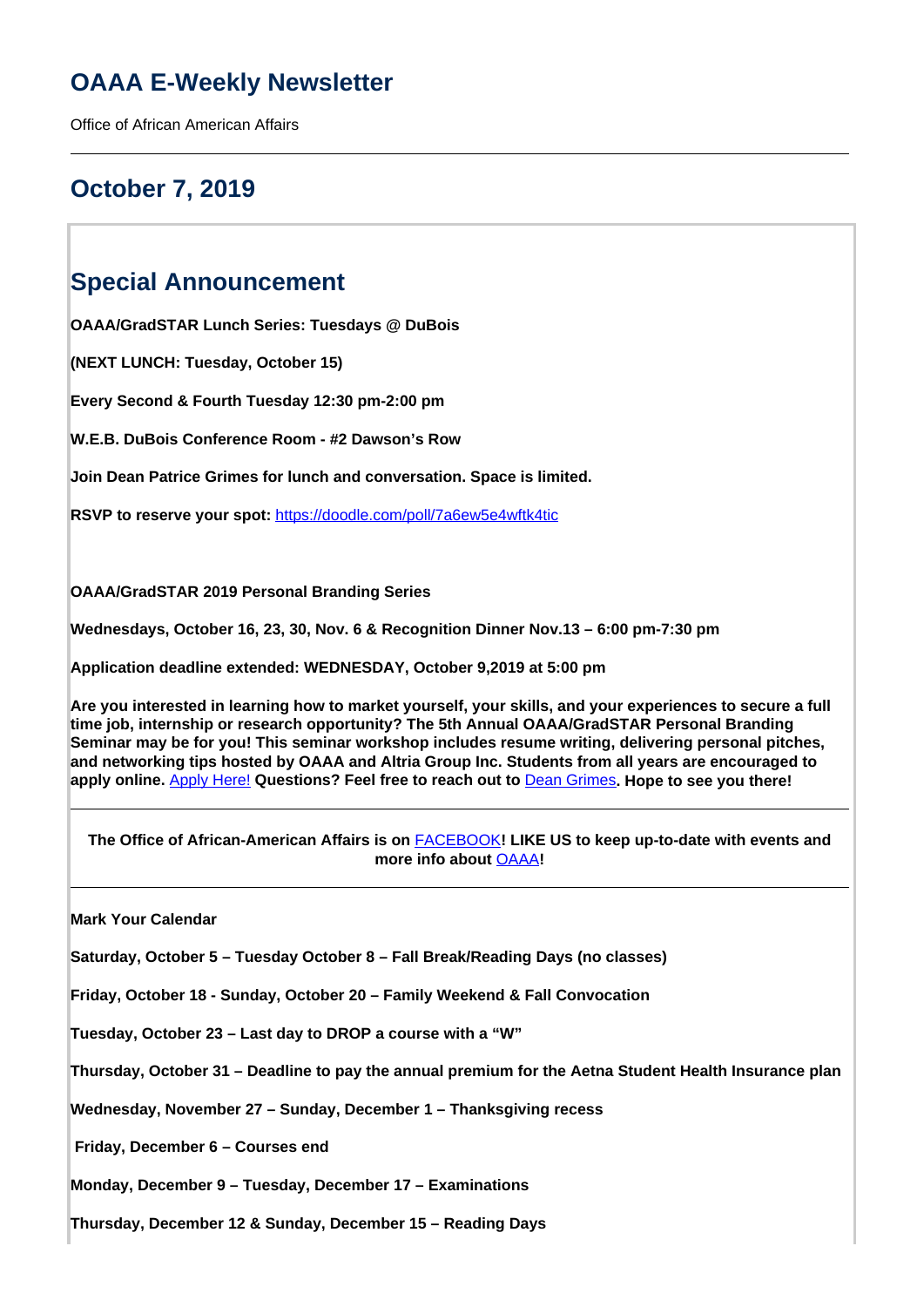# **OAAA E-Weekly Newsletter**

Office of African American Affairs

# **October 7, 2019**

## **Special Announcement**

**OAAA/GradSTAR Lunch Series: Tuesdays @ DuBois**

**(NEXT LUNCH: Tuesday, October 15)**

**Every Second & Fourth Tuesday 12:30 pm-2:00 pm**

**W.E.B. DuBois Conference Room - #2 Dawson's Row**

**Join Dean Patrice Grimes for lunch and conversation. Space is limited.**

**RSVP to reserve your spot:** <https://doodle.com/poll/7a6ew5e4wftk4tic>

**OAAA/GradSTAR 2019 Personal Branding Series**

**Wednesdays, October 16, 23, 30, Nov. 6 & Recognition Dinner Nov.13 – 6:00 pm-7:30 pm**

**Application deadline extended: WEDNESDAY, October 9,2019 at 5:00 pm**

**Are you interested in learning how to market yourself, your skills, and your experiences to secure a full time job, internship or research opportunity? The 5th Annual OAAA/GradSTAR Personal Branding Seminar may be for you! This seminar workshop includes resume writing, delivering personal pitches, and networking tips hosted by OAAA and Altria Group Inc. Students from all years are encouraged to apply online.** Apply Here! **Questions? Feel free to reach out to** Dean Grimes**. Hope to see you there!**

**The Office of African-American Affairs is on** FACEBOOK**! LIKE US to keep up-to-date with events and more info about** OAAA**!**

**Mark Your Calendar** 

**Saturday, October 5 – Tuesday October 8 – Fall Break/Reading Days (no classes)** 

**Friday, October 18 - Sunday, October 20 – Family Weekend & Fall Convocation**

**Tuesday, October 23 – Last day to DROP a course with a "W"**

**Thursday, October 31 – Deadline to pay the annual premium for the Aetna Student Health Insurance plan**

**Wednesday, November 27 – Sunday, December 1 – Thanksgiving recess**

 **Friday, December 6 – Courses end**

**Monday, December 9 – Tuesday, December 17 – Examinations**

**Thursday, December 12 & Sunday, December 15 – Reading Days**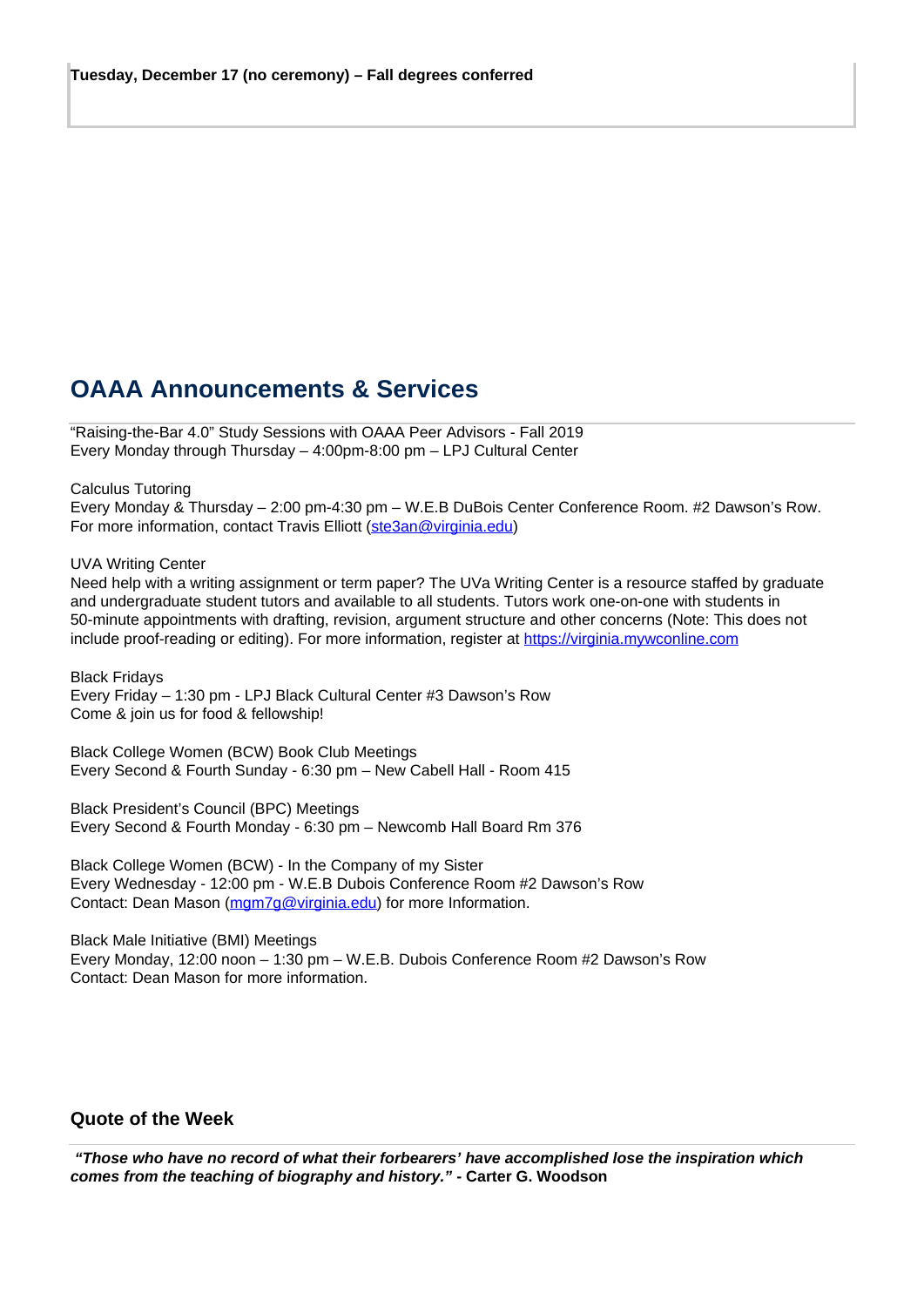# **OAAA Announcements & Services**

"Raising-the-Bar 4.0" Study Sessions with OAAA Peer Advisors - Fall 2019 Every Monday through Thursday – 4:00pm-8:00 pm – LPJ Cultural Center

### Calculus Tutoring

Every Monday & Thursday – 2:00 pm-4:30 pm – W.E.B DuBois Center Conference Room. #2 Dawson's Row. For more information, contact Travis Elliott (ste3an@virginia.edu)

### UVA Writing Center

Need help with a writing assignment or term paper? The UVa Writing Center is a resource staffed by graduate and undergraduate student tutors and available to all students. Tutors work one-on-one with students in 50-minute appointments with drafting, revision, argument structure and other concerns (Note: This does not include proof-reading or editing). For more information, register at https://virginia.mywconline.com

Black Fridays Every Friday – 1:30 pm - LPJ Black Cultural Center #3 Dawson's Row Come & join us for food & fellowship!

Black College Women (BCW) Book Club Meetings Every Second & Fourth Sunday - 6:30 pm – New Cabell Hall - Room 415

Black President's Council (BPC) Meetings Every Second & Fourth Monday - 6:30 pm – Newcomb Hall Board Rm 376

Black College Women (BCW) - In the Company of my Sister Every Wednesday - 12:00 pm - W.E.B Dubois Conference Room #2 Dawson's Row Contact: Dean Mason (mgm7g@virginia.edu) for more Information.

Black Male Initiative (BMI) Meetings Every Monday, 12:00 noon – 1:30 pm – W.E.B. Dubois Conference Room #2 Dawson's Row Contact: Dean Mason for more information.

### **Quote of the Week**

 **"Those who have no record of what their forbearers' have accomplished lose the inspiration which comes from the teaching of biography and history." - Carter G. Woodson**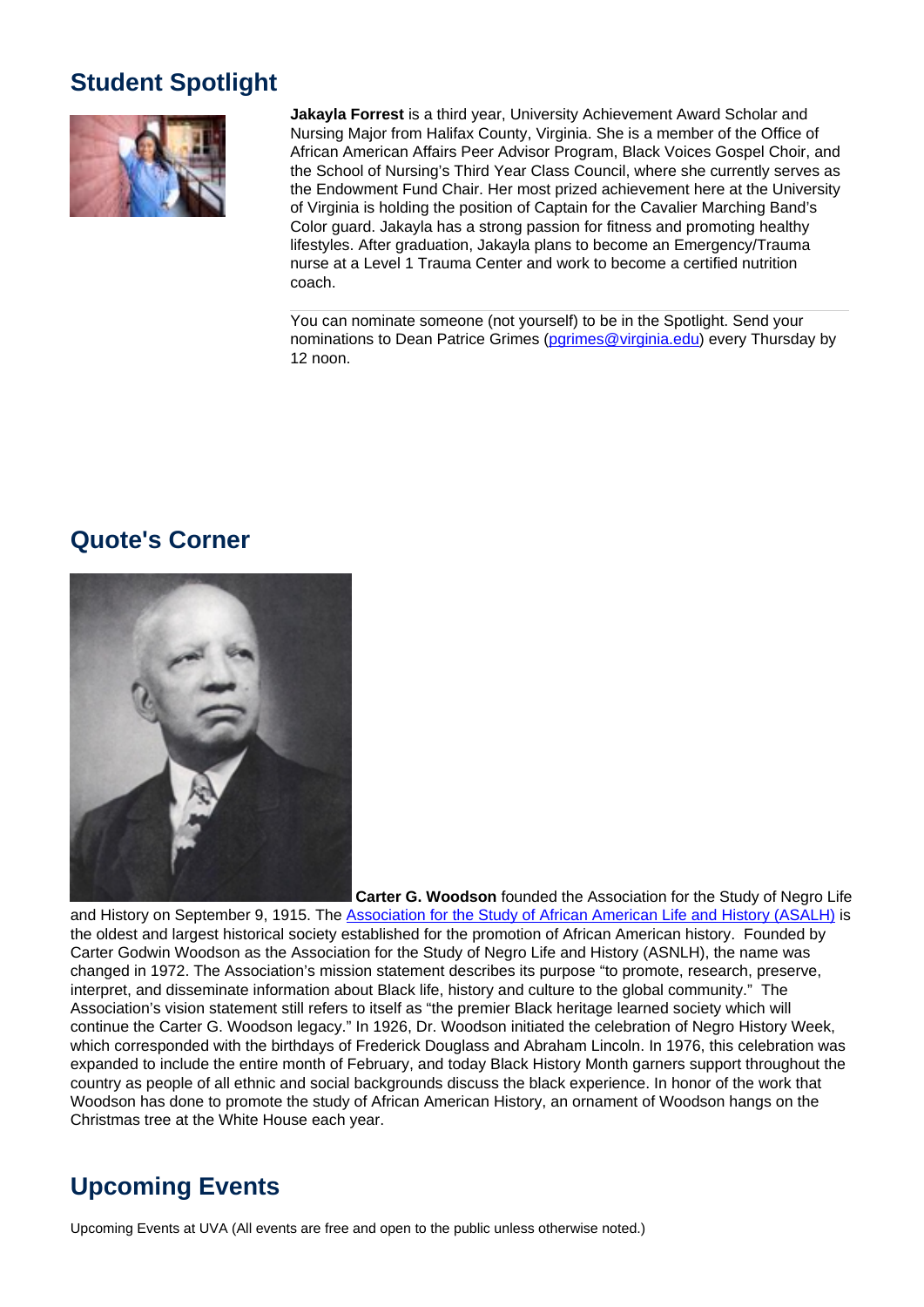# **Student Spotlight**



**Jakayla Forrest** is a third year, University Achievement Award Scholar and Nursing Major from Halifax County, Virginia. She is a member of the Office of African American Affairs Peer Advisor Program, Black Voices Gospel Choir, and the School of Nursing's Third Year Class Council, where she currently serves as the Endowment Fund Chair. Her most prized achievement here at the University of Virginia is holding the position of Captain for the Cavalier Marching Band's Color guard. Jakayla has a strong passion for fitness and promoting healthy lifestyles. After graduation, Jakayla plans to become an Emergency/Trauma nurse at a Level 1 Trauma Center and work to become a certified nutrition coach.

You can nominate someone (not yourself) to be in the Spotlight. Send your nominations to Dean Patrice Grimes (pgrimes@virginia.edu) every Thursday by 12 noon.

## **Quote's Corner**



 **Carter G. Woodson** founded the Association for the Study of Negro Life

and History on September 9, 1915. The Association for the Study of African American Life and History (ASALH) is the oldest and largest historical society established for the promotion of African American history. Founded by Carter Godwin Woodson as the Association for the Study of Negro Life and History (ASNLH), the name was changed in 1972. The Association's mission statement describes its purpose "to promote, research, preserve, interpret, and disseminate information about Black life, history and culture to the global community." The Association's vision statement still refers to itself as "the premier Black heritage learned society which will continue the Carter G. Woodson legacy." In 1926, Dr. Woodson initiated the celebration of Negro History Week, which corresponded with the birthdays of Frederick Douglass and Abraham Lincoln. In 1976, this celebration was expanded to include the entire month of February, and today Black History Month garners support throughout the country as people of all ethnic and social backgrounds discuss the black experience. In honor of the work that Woodson has done to promote the study of African American History, an ornament of Woodson hangs on the Christmas tree at the White House each year.

# **Upcoming Events**

Upcoming Events at UVA (All events are free and open to the public unless otherwise noted.)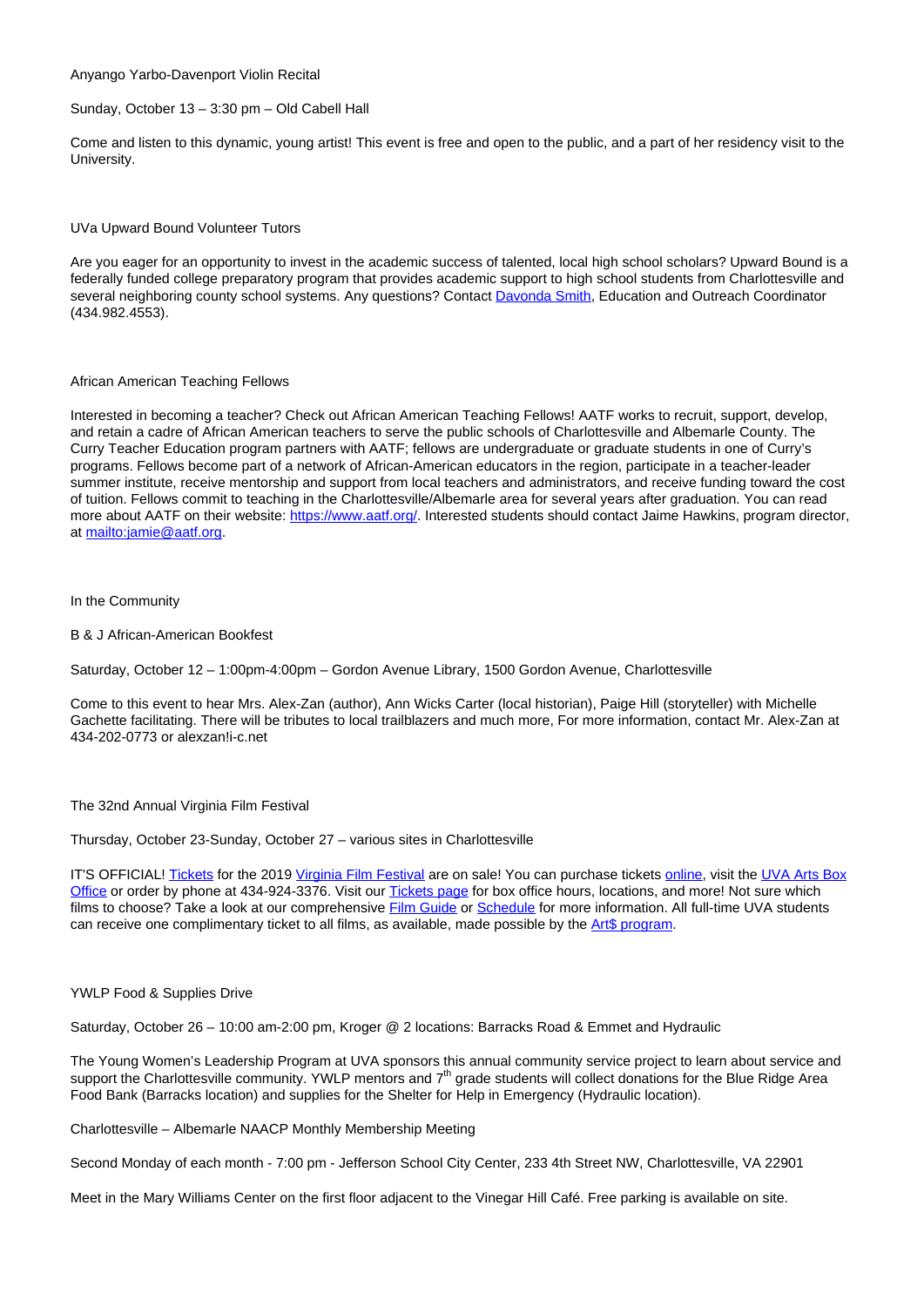Anyango Yarbo-Davenport Violin Recital

#### Sunday, October 13 – 3:30 pm – Old Cabell Hall

Come and listen to this dynamic, young artist! This event is free and open to the public, and a part of her residency visit to the University.

UVa Upward Bound Volunteer Tutors

Are you eager for an opportunity to invest in the academic success of talented, local high school scholars? Upward Bound is a federally funded college preparatory program that provides academic support to high school students from Charlottesville and several neighboring county school systems. Any questions? Contact Davonda Smith, Education and Outreach Coordinator (434.982.4553).

### African American Teaching Fellows

Interested in becoming a teacher? Check out African American Teaching Fellows! AATF works to recruit, support, develop, and retain a cadre of African American teachers to serve the public schools of Charlottesville and Albemarle County. The Curry Teacher Education program partners with AATF; fellows are undergraduate or graduate students in one of Curry's programs. Fellows become part of a network of African-American educators in the region, participate in a teacher-leader summer institute, receive mentorship and support from local teachers and administrators, and receive funding toward the cost of tuition. Fellows commit to teaching in the Charlottesville/Albemarle area for several years after graduation. You can read more about AATF on their website: https://www.aatf.org/. Interested students should contact Jaime Hawkins, program director, at mailto:jamie@aatf.org.

#### In the Community

B & J African-American Bookfest

Saturday, October 12 – 1:00pm-4:00pm – Gordon Avenue Library, 1500 Gordon Avenue, Charlottesville

Come to this event to hear Mrs. Alex-Zan (author), Ann Wicks Carter (local historian), Paige Hill (storyteller) with Michelle Gachette facilitating. There will be tributes to local trailblazers and much more, For more information, contact Mr. Alex-Zan at 434-202-0773 or alexzan!i-c.net

The 32nd Annual Virginia Film Festival

Thursday, October 23-Sunday, October 27 – various sites in Charlottesville

IT'S OFFICIAL! Tickets for the 2019 Virginia Film Festival are on sale! You can purchase tickets online, visit the UVA Arts Box Office or order by phone at 434-924-3376. Visit our Tickets page for box office hours, locations, and more! Not sure which films to choose? Take a look at our comprehensive Film Guide or Schedule for more information. All full-time UVA students can receive one complimentary ticket to all films, as available, made possible by the Art\$ program.

YWLP Food & Supplies Drive

Saturday, October 26 – 10:00 am-2:00 pm, Kroger @ 2 locations: Barracks Road & Emmet and Hydraulic

The Young Women's Leadership Program at UVA sponsors this annual community service project to learn about service and support the Charlottesville community. YWLP mentors and 7<sup>th</sup> grade students will collect donations for the Blue Ridge Area Food Bank (Barracks location) and supplies for the Shelter for Help in Emergency (Hydraulic location).

Charlottesville – Albemarle NAACP Monthly Membership Meeting

Second Monday of each month - 7:00 pm - Jefferson School City Center, 233 4th Street NW, Charlottesville, VA 22901

Meet in the Mary Williams Center on the first floor adjacent to the Vinegar Hill Café. Free parking is available on site.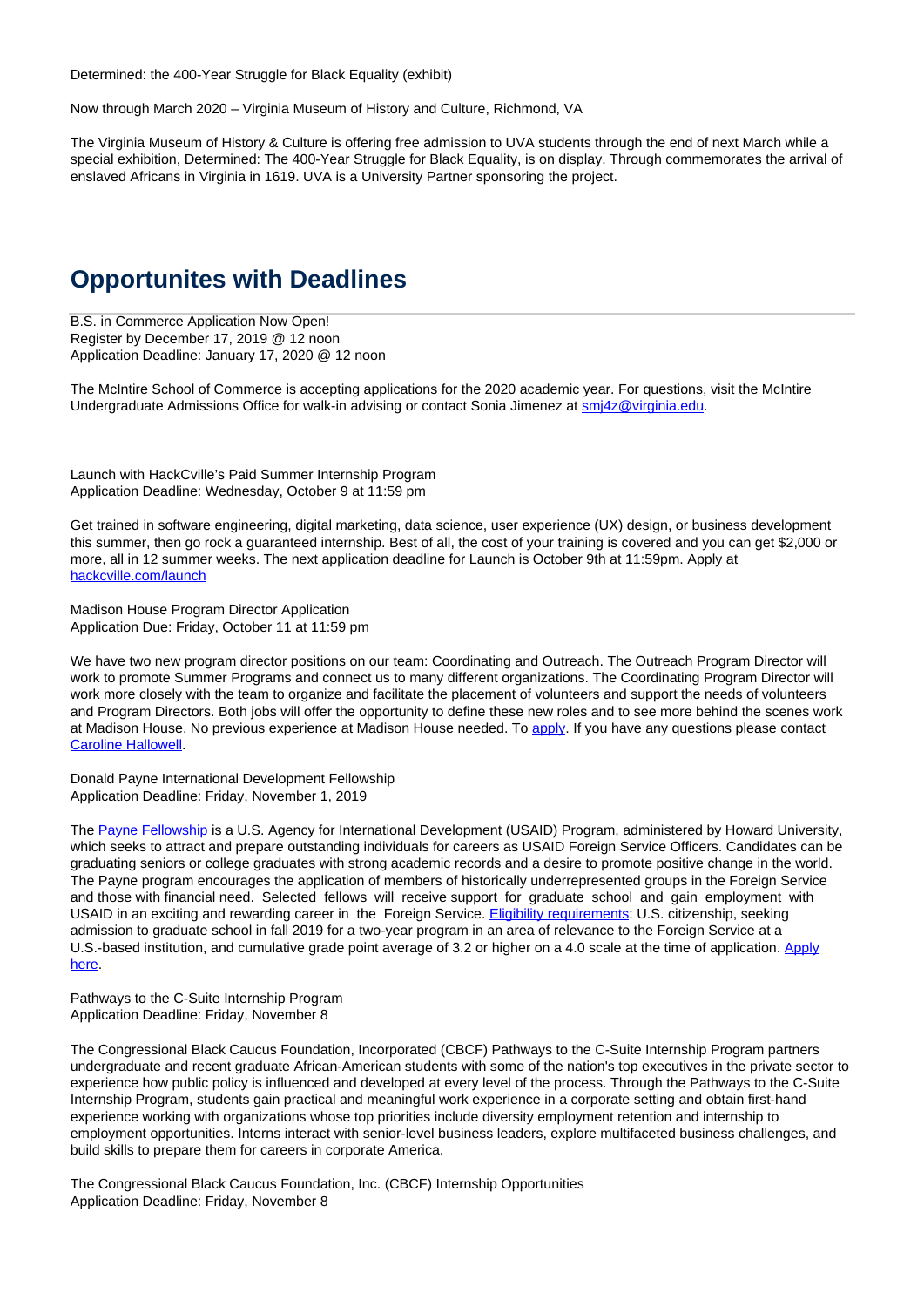Determined: the 400-Year Struggle for Black Equality (exhibit)

Now through March 2020 – Virginia Museum of History and Culture, Richmond, VA

The Virginia Museum of History & Culture is offering free admission to UVA students through the end of next March while a special exhibition, Determined: The 400-Year Struggle for Black Equality, is on display. Through commemorates the arrival of enslaved Africans in Virginia in 1619. UVA is a University Partner sponsoring the project.

### **Opportunites with Deadlines**

B.S. in Commerce Application Now Open! Register by December 17, 2019 @ 12 noon Application Deadline: January 17, 2020 @ 12 noon

The McIntire School of Commerce is accepting applications for the 2020 academic year. For questions, visit the McIntire Undergraduate Admissions Office for walk-in advising or contact Sonia Jimenez at smi4z@virginia.edu.

Launch with HackCville's Paid Summer Internship Program Application Deadline: Wednesday, October 9 at 11:59 pm

Get trained in software engineering, digital marketing, data science, user experience (UX) design, or business development this summer, then go rock a guaranteed internship. Best of all, the cost of your training is covered and you can get \$2,000 or more, all in 12 summer weeks. The next application deadline for Launch is October 9th at 11:59pm. Apply at hackcville.com/launch

Madison House Program Director Application Application Due: Friday, October 11 at 11:59 pm

We have two new program director positions on our team: Coordinating and Outreach. The Outreach Program Director will work to promote Summer Programs and connect us to many different organizations. The Coordinating Program Director will work more closely with the team to organize and facilitate the placement of volunteers and support the needs of volunteers and Program Directors. Both jobs will offer the opportunity to define these new roles and to see more behind the scenes work at Madison House. No previous experience at Madison House needed. To apply. If you have any questions please contact Caroline Hallowell.

Donald Payne International Development Fellowship Application Deadline: Friday, November 1, 2019

The Payne Fellowship is a U.S. Agency for International Development (USAID) Program, administered by Howard University, which seeks to attract and prepare outstanding individuals for careers as USAID Foreign Service Officers. Candidates can be graduating seniors or college graduates with strong academic records and a desire to promote positive change in the world. The Payne program encourages the application of members of historically underrepresented groups in the Foreign Service and those with financial need. Selected fellows will receive support for graduate school and gain employment with USAID in an exciting and rewarding career in the Foreign Service. Eligibility requirements: U.S. citizenship, seeking admission to graduate school in fall 2019 for a two-year program in an area of relevance to the Foreign Service at a U.S.-based institution, and cumulative grade point average of 3.2 or higher on a 4.0 scale at the time of application. Apply here.

Pathways to the C-Suite Internship Program Application Deadline: Friday, November 8

The Congressional Black Caucus Foundation, Incorporated (CBCF) Pathways to the C-Suite Internship Program partners undergraduate and recent graduate African-American students with some of the nation's top executives in the private sector to experience how public policy is influenced and developed at every level of the process. Through the Pathways to the C-Suite Internship Program, students gain practical and meaningful work experience in a corporate setting and obtain first-hand experience working with organizations whose top priorities include diversity employment retention and internship to employment opportunities. Interns interact with senior-level business leaders, explore multifaceted business challenges, and build skills to prepare them for careers in corporate America.

The Congressional Black Caucus Foundation, Inc. (CBCF) Internship Opportunities Application Deadline: Friday, November 8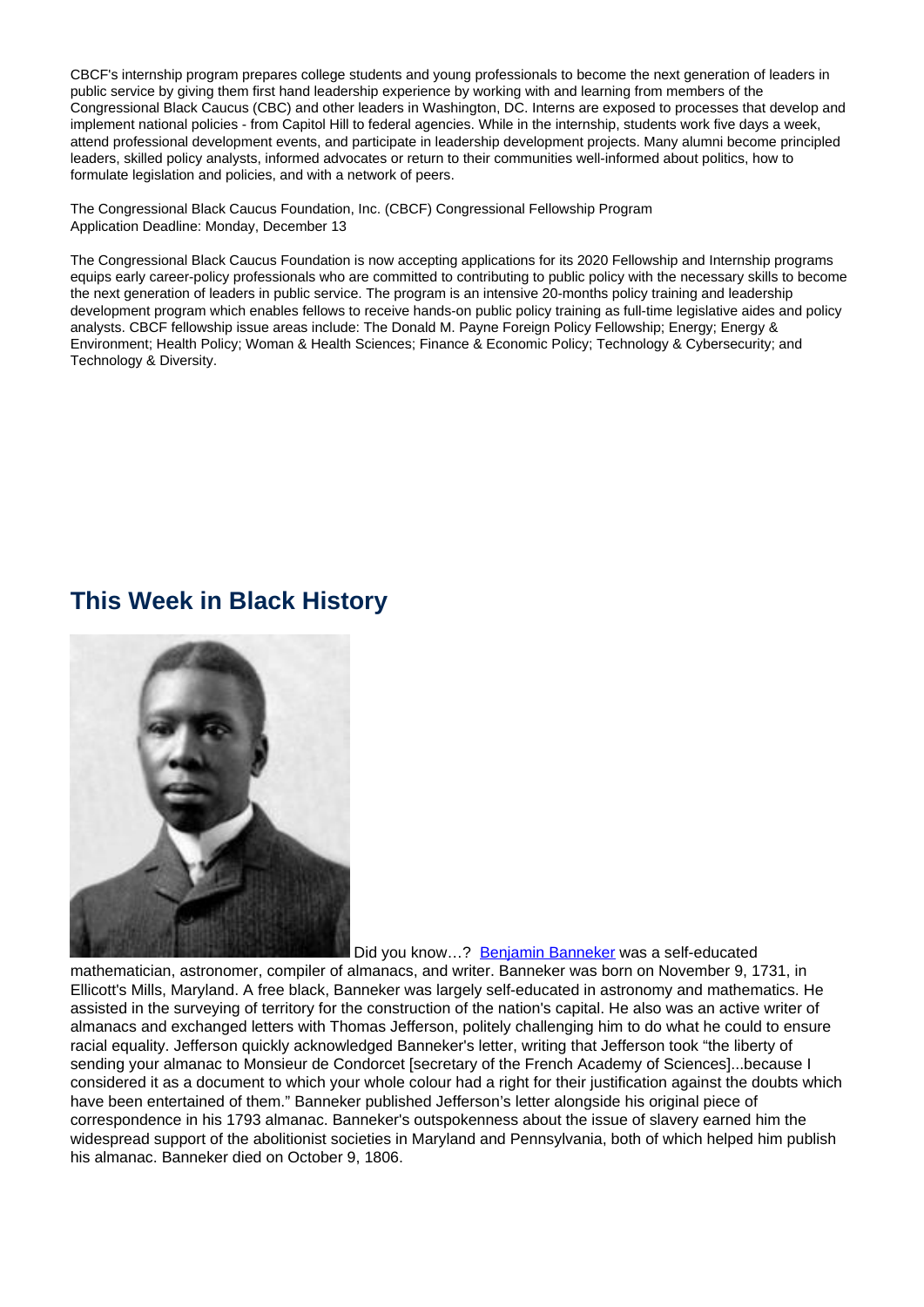CBCF's internship program prepares college students and young professionals to become the next generation of leaders in public service by giving them first hand leadership experience by working with and learning from members of the Congressional Black Caucus (CBC) and other leaders in Washington, DC. Interns are exposed to processes that develop and implement national policies - from Capitol Hill to federal agencies. While in the internship, students work five days a week, attend professional development events, and participate in leadership development projects. Many alumni become principled leaders, skilled policy analysts, informed advocates or return to their communities well-informed about politics, how to formulate legislation and policies, and with a network of peers.

The Congressional Black Caucus Foundation, Inc. (CBCF) Congressional Fellowship Program Application Deadline: Monday, December 13

The Congressional Black Caucus Foundation is now accepting applications for its 2020 Fellowship and Internship programs equips early career-policy professionals who are committed to contributing to public policy with the necessary skills to become the next generation of leaders in public service. The program is an intensive 20-months policy training and leadership development program which enables fellows to receive hands-on public policy training as full-time legislative aides and policy analysts. CBCF fellowship issue areas include: The Donald M. Payne Foreign Policy Fellowship; Energy; Energy & Environment; Health Policy; Woman & Health Sciences; Finance & Economic Policy; Technology & Cybersecurity; and Technology & Diversity.

### **This Week in Black History**



Did you know...? Benjamin Banneker was a self-educated

mathematician, astronomer, compiler of almanacs, and writer. Banneker was born on November 9, 1731, in Ellicott's Mills, Maryland. A free black, Banneker was largely self-educated in astronomy and mathematics. He assisted in the surveying of territory for the construction of the nation's capital. He also was an active writer of almanacs and exchanged letters with Thomas Jefferson, politely challenging him to do what he could to ensure racial equality. Jefferson quickly acknowledged Banneker's letter, writing that Jefferson took "the liberty of sending your almanac to Monsieur de Condorcet [secretary of the French Academy of Sciences]...because I considered it as a document to which your whole colour had a right for their justification against the doubts which have been entertained of them." Banneker published Jefferson's letter alongside his original piece of correspondence in his 1793 almanac. Banneker's outspokenness about the issue of slavery earned him the widespread support of the abolitionist societies in Maryland and Pennsylvania, both of which helped him publish his almanac. Banneker died on October 9, 1806.